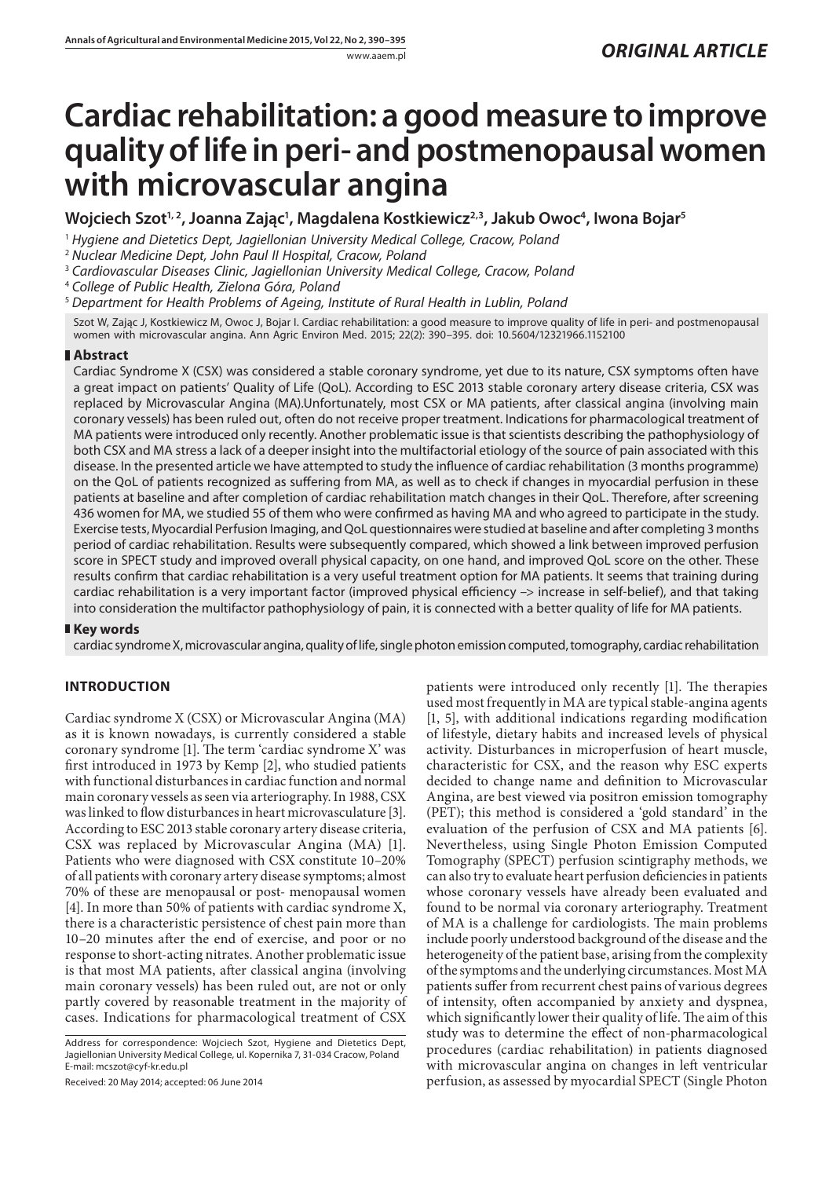# **Cardiac rehabilitation: a good measure to improve quality of life in peri- and postmenopausal women with microvascular angina**

Wojciech Szot<sup>1,2</sup>, Joanna Zając<sup>1</sup>, Magdalena Kostkiewicz<sup>2,3</sup>, Jakub Owoc<sup>4</sup>, Iwona Bojar<sup>s</sup>

<sup>1</sup> *Hygiene and Dietetics Dept, Jagiellonian University Medical College, Cracow, Poland*

<sup>2</sup> *Nuclear Medicine Dept, John Paul II Hospital, Cracow, Poland*

<sup>3</sup> *Cardiovascular Diseases Clinic, Jagiellonian University Medical College, Cracow, Poland*

<sup>4</sup> *College of Public Health, Zielona Góra, Poland*

<sup>5</sup> *Department for Health Problems of Ageing, Institute of Rural Health in Lublin, Poland*

Szot W, Zając J, Kostkiewicz M, Owoc J, Bojar I. Cardiac rehabilitation: a good measure to improve quality of life in peri- and postmenopausal women with microvascular angina. Ann Agric Environ Med. 2015; 22(2): 390–395. doi: 10.5604/12321966.1152100

# **Abstract**

Cardiac Syndrome X (CSX) was considered a stable coronary syndrome, yet due to its nature, CSX symptoms often have a great impact on patients' Quality of Life (QoL). According to ESC 2013 stable coronary artery disease criteria, CSX was replaced by Microvascular Angina (MA).Unfortunately, most CSX or MA patients, after classical angina (involving main coronary vessels) has been ruled out, often do not receive proper treatment. Indications for pharmacological treatment of MA patients were introduced only recently. Another problematic issue is that scientists describing the pathophysiology of both CSX and MA stress a lack of a deeper insight into the multifactorial etiology of the source of pain associated with this disease. In the presented article we have attempted to study the influence of cardiac rehabilitation (3 months programme) on the QoL of patients recognized as suffering from MA, as well as to check if changes in myocardial perfusion in these patients at baseline and after completion of cardiac rehabilitation match changes in their QoL. Therefore, after screening 436 women for MA, we studied 55 of them who were confirmed as having MA and who agreed to participate in the study. Exercise tests, Myocardial Perfusion Imaging, and QoL questionnaires were studied at baseline and after completing 3 months period of cardiac rehabilitation. Results were subsequently compared, which showed a link between improved perfusion score in SPECT study and improved overall physical capacity, on one hand, and improved QoL score on the other. These results confirm that cardiac rehabilitation is a very useful treatment option for MA patients. It seems that training during cardiac rehabilitation is a very important factor (improved physical efficiency –> increase in self-belief), and that taking into consideration the multifactor pathophysiology of pain, it is connected with a better quality of life for MA patients.

# **Key words**

cardiac syndrome X, microvascular angina, quality of life, single photon emission computed, tomography, cardiac rehabilitation

# **Introduction**

Cardiac syndrome X (CSX) or Microvascular Angina (MA) as it is known nowadays, is currently considered a stable coronary syndrome [1]. The term 'cardiac syndrome X' was first introduced in 1973 by Kemp [2], who studied patients with functional disturbances in cardiac function and normal main coronary vessels as seen via arteriography. In 1988, CSX was linked to flow disturbances in heart microvasculature [3]. According to ESC 2013 stable coronary artery disease criteria, CSX was replaced by Microvascular Angina (MA) [1]. Patients who were diagnosed with CSX constitute 10–20% of all patients with coronary artery disease symptoms; almost 70% of these are menopausal or post- menopausal women [4]. In more than 50% of patients with cardiac syndrome X, there is a characteristic persistence of chest pain more than 10–20 minutes after the end of exercise, and poor or no response to short-acting nitrates. Another problematic issue is that most MA patients, after classical angina (involving main coronary vessels) has been ruled out, are not or only partly covered by reasonable treatment in the majority of cases. Indications for pharmacological treatment of CSX

Received: 20 May 2014; accepted: 06 June 2014

patients were introduced only recently [1]. The therapies used most frequently in MA are typical stable-angina agents [1, 5], with additional indications regarding modification of lifestyle, dietary habits and increased levels of physical activity. Disturbances in microperfusion of heart muscle, characteristic for CSX, and the reason why ESC experts decided to change name and definition to Microvascular Angina, are best viewed via positron emission tomography (PET); this method is considered a 'gold standard' in the evaluation of the perfusion of CSX and MA patients [6]. Nevertheless, using Single Photon Emission Computed Tomography (SPECT) perfusion scintigraphy methods, we can also try to evaluate heart perfusion deficiencies in patients whose coronary vessels have already been evaluated and found to be normal via coronary arteriography. Treatment of MA is a challenge for cardiologists. The main problems include poorly understood background of the disease and the heterogeneity of the patient base, arising from the complexity of the symptoms and the underlying circumstances. Most MA patients suffer from recurrent chest pains of various degrees of intensity, often accompanied by anxiety and dyspnea, which significantly lower their quality of life. The aim of this study was to determine the effect of non-pharmacological procedures (cardiac rehabilitation) in patients diagnosed with microvascular angina on changes in left ventricular perfusion, as assessed by myocardial SPECT (Single Photon

Address for correspondence: Wojciech Szot, Hygiene and Dietetics Dept, Jagiellonian University Medical College, ul. Kopernika 7, 31-034 Cracow, Poland E-mail: mcszot@cyf-kr.edu.pl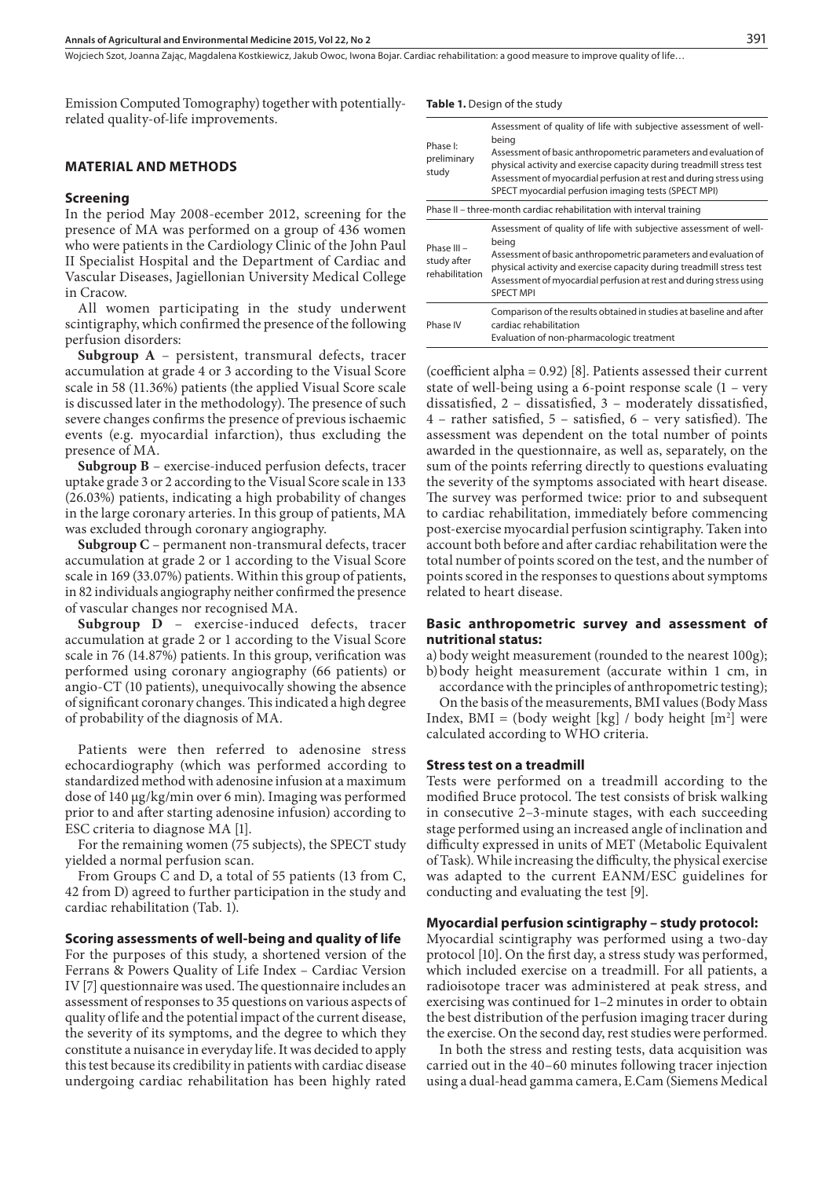Woiciech Szot, Joanna Zając, Magdalena Kostkiewicz, Jakub Owoc, Iwona Bojar Cardiac rehabilitation: a good measure to improve quality of life…

Emission Computed Tomography) together with potentiallyrelated quality-of-life improvements.

#### **Material and methods**

#### **Screening**

In the period May 2008-ecember 2012, screening for the presence of MA was performed on a group of 436 women who were patients in the Cardiology Clinic of the John Paul II Specialist Hospital and the Department of Cardiac and Vascular Diseases, Jagiellonian University Medical College in Cracow.

All women participating in the study underwent scintigraphy, which confirmed the presence of the following perfusion disorders:

**Subgroup A** – persistent, transmural defects, tracer accumulation at grade 4 or 3 according to the Visual Score scale in 58 (11.36%) patients (the applied Visual Score scale is discussed later in the methodology). The presence of such severe changes confirms the presence of previous ischaemic events (e.g. myocardial infarction), thus excluding the presence of MA.

**Subgroup B** – exercise-induced perfusion defects, tracer uptake grade 3 or 2 according to the Visual Score scale in 133 (26.03%) patients, indicating a high probability of changes in the large coronary arteries. In this group of patients, MA was excluded through coronary angiography.

**Subgroup C** – permanent non-transmural defects, tracer accumulation at grade 2 or 1 according to the Visual Score scale in 169 (33.07%) patients. Within this group of patients, in 82 individuals angiography neither confirmed the presence of vascular changes nor recognised MA.

**Subgroup D** – exercise-induced defects, tracer accumulation at grade 2 or 1 according to the Visual Score scale in 76 (14.87%) patients. In this group, verification was performed using coronary angiography (66 patients) or angio-CT (10 patients), unequivocally showing the absence of significant coronary changes. This indicated a high degree of probability of the diagnosis of MA.

Patients were then referred to adenosine stress echocardiography (which was performed according to standardized method with adenosine infusion at a maximum dose of 140 µg/kg/min over 6 min). Imaging was performed prior to and after starting adenosine infusion) according to ESC criteria to diagnose MA [1].

For the remaining women (75 subjects), the SPECT study yielded a normal perfusion scan.

From Groups C and D, a total of 55 patients (13 from C, 42 from D) agreed to further participation in the study and cardiac rehabilitation (Tab. 1).

# **Scoring assessments of well-being and quality of life**

For the purposes of this study, a shortened version of the Ferrans & Powers Quality of Life Index – Cardiac Version IV [7] questionnaire was used. The questionnaire includes an assessment of responses to 35 questions on various aspects of quality of life and the potential impact of the current disease, the severity of its symptoms, and the degree to which they constitute a nuisance in everyday life. It was decided to apply this test because its credibility in patients with cardiac disease undergoing cardiac rehabilitation has been highly rated **Table 1.** Design of the study

| Phase I:<br>preliminary<br>study                                     | Assessment of quality of life with subjective assessment of well-<br>being<br>Assessment of basic anthropometric parameters and evaluation of<br>physical activity and exercise capacity during treadmill stress test<br>Assessment of myocardial perfusion at rest and during stress using<br>SPECT myocardial perfusion imaging tests (SPECT MPI) |  |  |  |
|----------------------------------------------------------------------|-----------------------------------------------------------------------------------------------------------------------------------------------------------------------------------------------------------------------------------------------------------------------------------------------------------------------------------------------------|--|--|--|
| Phase II – three-month cardiac rehabilitation with interval training |                                                                                                                                                                                                                                                                                                                                                     |  |  |  |
| Phase III -<br>study after<br>rehabilitation                         | Assessment of quality of life with subjective assessment of well-<br>being<br>Assessment of basic anthropometric parameters and evaluation of<br>physical activity and exercise capacity during treadmill stress test<br>Assessment of myocardial perfusion at rest and during stress using<br><b>SPECT MPI</b>                                     |  |  |  |
| Phase IV                                                             | Comparison of the results obtained in studies at baseline and after<br>cardiac rehabilitation<br>Evaluation of non-pharmacologic treatment                                                                                                                                                                                                          |  |  |  |

(coefficient alpha = 0.92) [8]. Patients assessed their current state of well-being using a 6-point response scale (1 – very dissatisfied, 2 – dissatisfied, 3 – moderately dissatisfied, 4 – rather satisfied, 5 – satisfied, 6 – very satisfied). The assessment was dependent on the total number of points awarded in the questionnaire, as well as, separately, on the sum of the points referring directly to questions evaluating the severity of the symptoms associated with heart disease. The survey was performed twice: prior to and subsequent to cardiac rehabilitation, immediately before commencing post-exercise myocardial perfusion scintigraphy. Taken into account both before and after cardiac rehabilitation were the total number of points scored on the test, and the number of points scored in the responses to questions about symptoms related to heart disease.

## **Basic anthropometric survey and assessment of nutritional status:**

a) body weight measurement (rounded to the nearest 100g); b)body height measurement (accurate within 1 cm, in

accordance with the principles of anthropometric testing);

On the basis of the measurements, BMI values (Body Mass Index,  $BMI = (body weight [kg] / body height [m^2] were$ calculated according to WHO criteria.

### **Stress test on a treadmill**

Tests were performed on a treadmill according to the modified Bruce protocol. The test consists of brisk walking in consecutive 2–3-minute stages, with each succeeding stage performed using an increased angle of inclination and difficulty expressed in units of MET (Metabolic Equivalent of Task). While increasing the difficulty, the physical exercise was adapted to the current EANM/ESC guidelines for conducting and evaluating the test [9].

## **Myocardial perfusion scintigraphy – study protocol:**

Myocardial scintigraphy was performed using a two-day protocol [10]. On the first day, a stress study was performed, which included exercise on a treadmill. For all patients, a radioisotope tracer was administered at peak stress, and exercising was continued for 1–2 minutes in order to obtain the best distribution of the perfusion imaging tracer during the exercise. On the second day, rest studies were performed.

In both the stress and resting tests, data acquisition was carried out in the 40–60 minutes following tracer injection using a dual-head gamma camera, E.Cam (Siemens Medical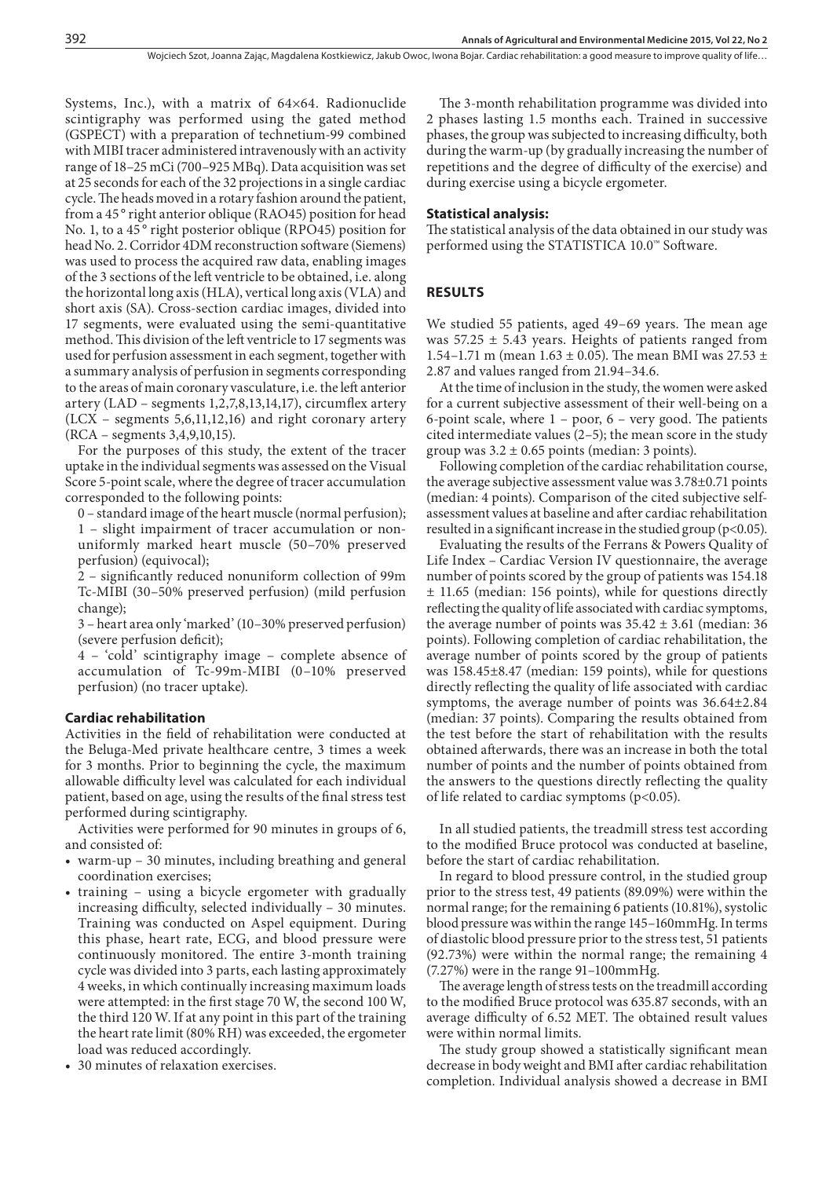Systems, Inc.), with a matrix of 64×64. Radionuclide scintigraphy was performed using the gated method (GSPECT) with a preparation of technetium-99 combined with MIBI tracer administered intravenously with an activity range of 18–25 mCi (700–925 MBq). Data acquisition was set at 25 seconds for each of the 32 projections in a single cardiac cycle. The heads moved in a rotary fashion around the patient, from a 45 ° right anterior oblique (RAO45) position for head No. 1, to a 45° right posterior oblique (RPO45) position for head No. 2. Corridor 4DM reconstruction software (Siemens) was used to process the acquired raw data, enabling images of the 3 sections of the left ventricle to be obtained, i.e. along the horizontal long axis (HLA), vertical long axis (VLA) and short axis (SA). Cross-section cardiac images, divided into 17 segments, were evaluated using the semi-quantitative method. This division of the left ventricle to 17 segments was used for perfusion assessment in each segment, together with a summary analysis of perfusion in segments corresponding to the areas of main coronary vasculature, i.e. the left anterior artery (LAD – segments 1,2,7,8,13,14,17), circumflex artery (LCX – segments 5,6,11,12,16) and right coronary artery (RCA – segments 3,4,9,10,15).

For the purposes of this study, the extent of the tracer uptake in the individual segments was assessed on the Visual Score 5-point scale, where the degree of tracer accumulation corresponded to the following points:

0 – standard image of the heart muscle (normal perfusion); 1 – slight impairment of tracer accumulation or nonuniformly marked heart muscle (50–70% preserved perfusion) (equivocal);

2 – significantly reduced nonuniform collection of 99m Tc-MIBI (30–50% preserved perfusion) (mild perfusion change);

3 – heart area only 'marked' (10–30% preserved perfusion) (severe perfusion deficit);

4 – 'cold' scintigraphy image – complete absence of accumulation of Tc-99m-MIBI (0–10% preserved perfusion) (no tracer uptake).

## **Cardiac rehabilitation**

Activities in the field of rehabilitation were conducted at the Beluga-Med private healthcare centre, 3 times a week for 3 months. Prior to beginning the cycle, the maximum allowable difficulty level was calculated for each individual patient, based on age, using the results of the final stress test performed during scintigraphy.

Activities were performed for 90 minutes in groups of 6, and consisted of:

- warm-up 30 minutes, including breathing and general coordination exercises;
- • training using a bicycle ergometer with gradually increasing difficulty, selected individually – 30 minutes. Training was conducted on Aspel equipment. During this phase, heart rate, ECG, and blood pressure were continuously monitored. The entire 3-month training cycle was divided into 3 parts, each lasting approximately 4 weeks, in which continually increasing maximum loads were attempted: in the first stage 70 W, the second 100 W, the third 120 W. If at any point in this part of the training the heart rate limit (80% RH) was exceeded, the ergometer load was reduced accordingly.
- • 30 minutes of relaxation exercises.

The 3-month rehabilitation programme was divided into 2 phases lasting 1.5 months each. Trained in successive phases, the group was subjected to increasing difficulty, both during the warm-up (by gradually increasing the number of repetitions and the degree of difficulty of the exercise) and during exercise using a bicycle ergometer.

#### **Statistical analysis:**

The statistical analysis of the data obtained in our study was performed using the STATISTICA 10.0™ Software.

### **Results**

We studied 55 patients, aged 49–69 years. The mean age was  $57.25 \pm 5.43$  years. Heights of patients ranged from 1.54–1.71 m (mean 1.63  $\pm$  0.05). The mean BMI was 27.53  $\pm$ 2.87 and values ranged from 21.94–34.6.

At the time of inclusion in the study, the women were asked for a current subjective assessment of their well-being on a 6-point scale, where  $1 -$  poor,  $6 -$  very good. The patients cited intermediate values (2–5); the mean score in the study group was  $3.2 \pm 0.65$  points (median: 3 points).

Following completion of the cardiac rehabilitation course, the average subjective assessment value was 3.78±0.71 points (median: 4 points). Comparison of the cited subjective selfassessment values at baseline and after cardiac rehabilitation resulted in a significant increase in the studied group (p<0.05).

Evaluating the results of the Ferrans & Powers Quality of Life Index – Cardiac Version IV questionnaire, the average number of points scored by the group of patients was 154.18 ± 11.65 (median: 156 points), while for questions directly reflecting the quality of life associated with cardiac symptoms, the average number of points was  $35.42 \pm 3.61$  (median: 36 points). Following completion of cardiac rehabilitation, the average number of points scored by the group of patients was 158.45±8.47 (median: 159 points), while for questions directly reflecting the quality of life associated with cardiac symptoms, the average number of points was 36.64±2.84 (median: 37 points). Comparing the results obtained from the test before the start of rehabilitation with the results obtained afterwards, there was an increase in both the total number of points and the number of points obtained from the answers to the questions directly reflecting the quality of life related to cardiac symptoms (p<0.05).

In all studied patients, the treadmill stress test according to the modified Bruce protocol was conducted at baseline, before the start of cardiac rehabilitation.

In regard to blood pressure control, in the studied group prior to the stress test, 49 patients (89.09%) were within the normal range; for the remaining 6 patients (10.81%), systolic blood pressure was within the range 145–160mmHg. In terms of diastolic blood pressure prior to the stress test, 51 patients (92.73%) were within the normal range; the remaining 4 (7.27%) were in the range 91–100mmHg.

The average length of stress tests on the treadmill according to the modified Bruce protocol was 635.87 seconds, with an average difficulty of 6.52 MET. The obtained result values were within normal limits.

The study group showed a statistically significant mean decrease in body weight and BMI after cardiac rehabilitation completion. Individual analysis showed a decrease in BMI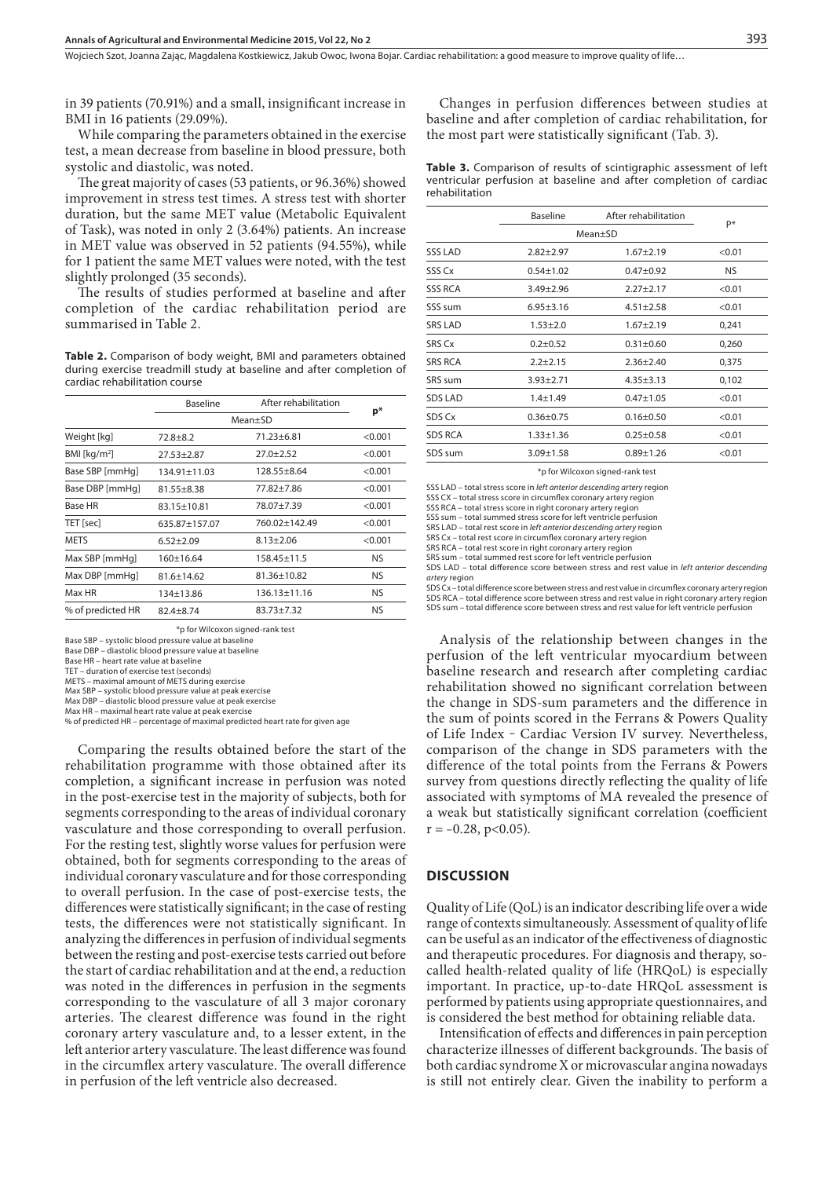Woiciech Szot, Joanna Zając, Magdalena Kostkiewicz, Jakub Owoc, Iwona Bojar Cardiac rehabilitation: a good measure to improve quality of life…

in 39 patients (70.91%) and a small, insignificant increase in BMI in 16 patients (29.09%).

While comparing the parameters obtained in the exercise test, a mean decrease from baseline in blood pressure, both systolic and diastolic, was noted.

The great majority of cases (53 patients, or 96.36%) showed improvement in stress test times. A stress test with shorter duration, but the same MET value (Metabolic Equivalent of Task), was noted in only 2 (3.64%) patients. An increase in MET value was observed in 52 patients (94.55%), while for 1 patient the same MET values were noted, with the test slightly prolonged (35 seconds).

The results of studies performed at baseline and after completion of the cardiac rehabilitation period are summarised in Table 2.

**Table 2.** Comparison of body weight, BMI and parameters obtained during exercise treadmill study at baseline and after completion of cardiac rehabilitation course

|                   | <b>Baseline</b>    | After rehabilitation |         |
|-------------------|--------------------|----------------------|---------|
|                   | Mean+SD            | $p^*$                |         |
| Weight [kg]       | $72.8 + 8.2$       | $71.23 + 6.81$       | < 0.001 |
| BMI [ $kg/m2$ ]   | $27.53 + 2.87$     | $27.0 + 2.52$        | < 0.001 |
| Base SBP [mmHq]   | $134.91 \pm 11.03$ | 128.55+8.64          | < 0.001 |
| Base DBP [mmHq]   | $81.55 \pm 8.38$   | 77.82+7.86           | < 0.001 |
| <b>Base HR</b>    | $83.15 + 10.81$    | 78.07+7.39           | < 0.001 |
| TET [sec]         | 635.87+157.07      | 760.02+142.49        | < 0.001 |
| <b>METS</b>       | $6.52 + 2.09$      | $8.13 + 2.06$        | < 0.001 |
| Max SBP [mmHq]    | $160+16.64$        | 158.45+11.5          | NS.     |
| Max DBP [mmHq]    | 81.6±14.62         | $81.36 + 10.82$      | NS.     |
| Max HR            | 134±13.86          | 136.13+11.16         | NS.     |
| % of predicted HR | $82.4 + 8.74$      | $83.73 + 7.32$       | NS.     |

\*p for Wilcoxon signed-rank test

Base SBP – systolic blood pressure value at baseline

Base DBP – diastolic blood pressure value at baseline

Base HR – heart rate value at baseline

TET – duration of exercise test (seconds)

METS – maximal amount of METS during exercise Max SBP – systolic blood pressure value at peak exercise

Max DBP – diastolic blood pressure value at peak exercise

Max HR – maximal heart rate value at peak exercise

% of predicted HR – percentage of maximal predicted heart rate for given age

Comparing the results obtained before the start of the rehabilitation programme with those obtained after its completion, a significant increase in perfusion was noted in the post-exercise test in the majority of subjects, both for segments corresponding to the areas of individual coronary vasculature and those corresponding to overall perfusion. For the resting test, slightly worse values for perfusion were obtained, both for segments corresponding to the areas of individual coronary vasculature and for those corresponding to overall perfusion. In the case of post-exercise tests, the differences were statistically significant; in the case of resting tests, the differences were not statistically significant. In analyzing the differences in perfusion of individual segments between the resting and post-exercise tests carried out before the start of cardiac rehabilitation and at the end, a reduction was noted in the differences in perfusion in the segments corresponding to the vasculature of all 3 major coronary arteries. The clearest difference was found in the right coronary artery vasculature and, to a lesser extent, in the left anterior artery vasculature. The least difference was found in the circumflex artery vasculature. The overall difference in perfusion of the left ventricle also decreased.

Changes in perfusion differences between studies at baseline and after completion of cardiac rehabilitation, for the most part were statistically significant (Tab. 3).

Table 3. Comparison of results of scintigraphic assessment of left ventricular perfusion at baseline and after completion of cardiac rehabilitation

|                | <b>Baseline</b> | After rehabilitation | P*     |
|----------------|-----------------|----------------------|--------|
|                | Mean+SD         |                      |        |
| SSS LAD        | $2.82 \pm 2.97$ | $1.67 + 2.19$        | < 0.01 |
| SSS Cx         | $0.54 + 1.02$   | $0.47 + 0.92$        | NS.    |
| <b>SSS RCA</b> | $3.49 \pm 2.96$ | $2.27 \pm 2.17$      | < 0.01 |
| SSS sum        | $6.95 \pm 3.16$ | $4.51 \pm 2.58$      | < 0.01 |
| <b>SRS LAD</b> | $1.53 + 2.0$    | $1.67 + 2.19$        | 0,241  |
| SRS Cx         | $0.2 \pm 0.52$  | $0.31 \pm 0.60$      | 0,260  |
| <b>SRS RCA</b> | $2.2 + 2.15$    | $2.36 \pm 2.40$      | 0,375  |
| SRS sum        | $3.93 \pm 2.71$ | $4.35 \pm 3.13$      | 0,102  |
| SDS LAD        | $1.4 + 1.49$    | $0.47 + 1.05$        | < 0.01 |
| SDS Cx         | $0.36 \pm 0.75$ | $0.16 \pm 0.50$      | < 0.01 |
| <b>SDS RCA</b> | $1.33 \pm 1.36$ | $0.25 \pm 0.58$      | < 0.01 |
| SDS sum        | $3.09 \pm 1.58$ | $0.89 + 1.26$        | < 0.01 |

\*p for Wilcoxon signed-rank test

SSS LAD – total stress score in *left anterior descending artery* region

SSS CX – total stress score in circumflex coronary artery region SSS RCA – total stress score in right coronary artery region

SSS sum – total summed stress score for left ventricle perfusion

SRS LAD – total rest score in *left anterior descending artery* region

SRS Cx – total rest score in circumflex coronary artery region

SRS RCA – total rest score in right coronary artery region

SRS sum – total summed rest score for left ventricle perfusion

SDS LAD – total difference score between stress and rest value in *left anterior descending artery* region

SDS Cx – total difference score between stress and rest value in circumflex coronary artery region SDS RCA – total difference score between stress and rest value in right coronary artery region SDS sum – total difference score between stress and rest value for left ventricle perfusion

Analysis of the relationship between changes in the perfusion of the left ventricular myocardium between baseline research and research after completing cardiac rehabilitation showed no significant correlation between the change in SDS-sum parameters and the difference in the sum of points scored in the Ferrans & Powers Quality of Life Index ‒ Cardiac Version IV survey. Nevertheless, comparison of the change in SDS parameters with the difference of the total points from the Ferrans & Powers survey from questions directly reflecting the quality of life associated with symptoms of MA revealed the presence of a weak but statistically significant correlation (coefficient  $r = -0.28$ , p<0.05).

#### **Discussion**

Quality of Life (QoL) is an indicator describing life over a wide range of contexts simultaneously. Assessment of quality of life can be useful as an indicator of the effectiveness of diagnostic and therapeutic procedures. For diagnosis and therapy, socalled health-related quality of life (HRQoL) is especially important. In practice, up-to-date HRQoL assessment is performed by patients using appropriate questionnaires, and is considered the best method for obtaining reliable data.

Intensification of effects and differences in pain perception characterize illnesses of different backgrounds. The basis of both cardiac syndrome X or microvascular angina nowadays is still not entirely clear. Given the inability to perform a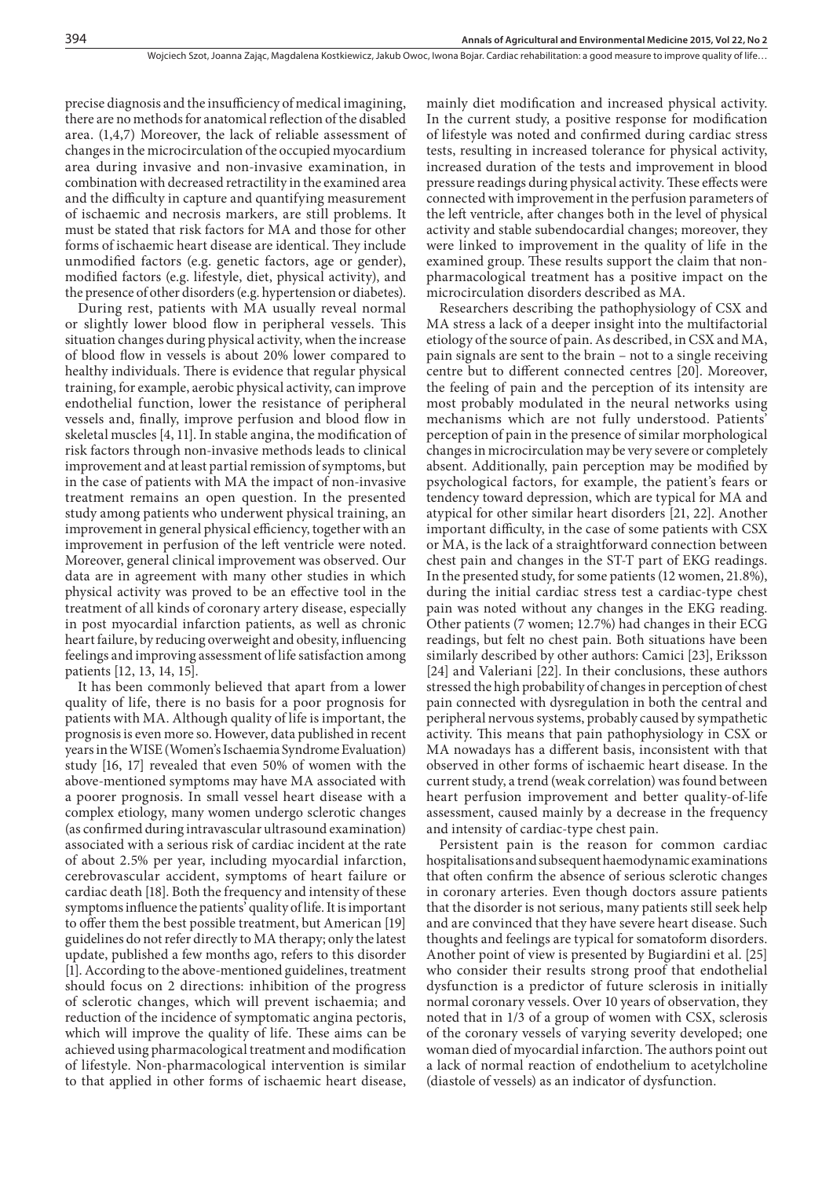precise diagnosis and the insufficiency of medical imagining, there are no methods for anatomical reflection of the disabled area. (1,4,7) Moreover, the lack of reliable assessment of changes in the microcirculation of the occupied myocardium area during invasive and non-invasive examination, in combination with decreased retractility in the examined area and the difficulty in capture and quantifying measurement of ischaemic and necrosis markers, are still problems. It must be stated that risk factors for MA and those for other forms of ischaemic heart disease are identical. They include unmodified factors (e.g. genetic factors, age or gender), modified factors (e.g. lifestyle, diet, physical activity), and the presence of other disorders (e.g. hypertension or diabetes).

During rest, patients with MA usually reveal normal or slightly lower blood flow in peripheral vessels. This situation changes during physical activity, when the increase of blood flow in vessels is about 20% lower compared to healthy individuals. There is evidence that regular physical training, for example, aerobic physical activity, can improve endothelial function, lower the resistance of peripheral vessels and, finally, improve perfusion and blood flow in skeletal muscles [4, 11]. In stable angina, the modification of risk factors through non-invasive methods leads to clinical improvement and at least partial remission of symptoms, but in the case of patients with MA the impact of non-invasive treatment remains an open question. In the presented study among patients who underwent physical training, an improvement in general physical efficiency, together with an improvement in perfusion of the left ventricle were noted. Moreover, general clinical improvement was observed. Our data are in agreement with many other studies in which physical activity was proved to be an effective tool in the treatment of all kinds of coronary artery disease, especially in post myocardial infarction patients, as well as chronic heart failure, by reducing overweight and obesity, influencing feelings and improving assessment of life satisfaction among patients [12, 13, 14, 15].

It has been commonly believed that apart from a lower quality of life, there is no basis for a poor prognosis for patients with MA. Although quality of life is important, the prognosis is even more so. However, data published in recent years in the WISE (Women's Ischaemia Syndrome Evaluation) study [16, 17] revealed that even 50% of women with the above-mentioned symptoms may have MA associated with a poorer prognosis. In small vessel heart disease with a complex etiology, many women undergo sclerotic changes (as confirmed during intravascular ultrasound examination) associated with a serious risk of cardiac incident at the rate of about 2.5% per year, including myocardial infarction, cerebrovascular accident, symptoms of heart failure or cardiac death [18]. Both the frequency and intensity of these symptoms influence the patients' quality of life. It is important to offer them the best possible treatment, but American [19] guidelines do not refer directly to MA therapy; only the latest update, published a few months ago, refers to this disorder [1]. According to the above-mentioned guidelines, treatment should focus on 2 directions: inhibition of the progress of sclerotic changes, which will prevent ischaemia; and reduction of the incidence of symptomatic angina pectoris, which will improve the quality of life. These aims can be achieved using pharmacological treatment and modification of lifestyle. Non-pharmacological intervention is similar to that applied in other forms of ischaemic heart disease,

mainly diet modification and increased physical activity. In the current study, a positive response for modification of lifestyle was noted and confirmed during cardiac stress tests, resulting in increased tolerance for physical activity, increased duration of the tests and improvement in blood pressure readings during physical activity. These effects were connected with improvement in the perfusion parameters of the left ventricle, after changes both in the level of physical activity and stable subendocardial changes; moreover, they were linked to improvement in the quality of life in the examined group. These results support the claim that nonpharmacological treatment has a positive impact on the microcirculation disorders described as MA.

Researchers describing the pathophysiology of CSX and MA stress a lack of a deeper insight into the multifactorial etiology of the source of pain. As described, in CSX and MA, pain signals are sent to the brain – not to a single receiving centre but to different connected centres [20]. Moreover, the feeling of pain and the perception of its intensity are most probably modulated in the neural networks using mechanisms which are not fully understood. Patients' perception of pain in the presence of similar morphological changes in microcirculation may be very severe or completely absent. Additionally, pain perception may be modified by psychological factors, for example, the patient's fears or tendency toward depression, which are typical for MA and atypical for other similar heart disorders [21, 22]. Another important difficulty, in the case of some patients with CSX or MA, is the lack of a straightforward connection between chest pain and changes in the ST-T part of EKG readings. In the presented study, for some patients (12 women, 21.8%), during the initial cardiac stress test a cardiac-type chest pain was noted without any changes in the EKG reading. Other patients (7 women; 12.7%) had changes in their ECG readings, but felt no chest pain. Both situations have been similarly described by other authors: Camici [23], Eriksson [24] and Valeriani [22]. In their conclusions, these authors stressed the high probability of changes in perception of chest pain connected with dysregulation in both the central and peripheral nervous systems, probably caused by sympathetic activity. This means that pain pathophysiology in CSX or MA nowadays has a different basis, inconsistent with that observed in other forms of ischaemic heart disease. In the current study, a trend (weak correlation) was found between heart perfusion improvement and better quality-of-life assessment, caused mainly by a decrease in the frequency and intensity of cardiac-type chest pain.

Persistent pain is the reason for common cardiac hospitalisations and subsequent haemodynamic examinations that often confirm the absence of serious sclerotic changes in coronary arteries. Even though doctors assure patients that the disorder is not serious, many patients still seek help and are convinced that they have severe heart disease. Such thoughts and feelings are typical for somatoform disorders. Another point of view is presented by Bugiardini et al. [25] who consider their results strong proof that endothelial dysfunction is a predictor of future sclerosis in initially normal coronary vessels. Over 10 years of observation, they noted that in 1/3 of a group of women with CSX, sclerosis of the coronary vessels of varying severity developed; one woman died of myocardial infarction. The authors point out a lack of normal reaction of endothelium to acetylcholine (diastole of vessels) as an indicator of dysfunction.